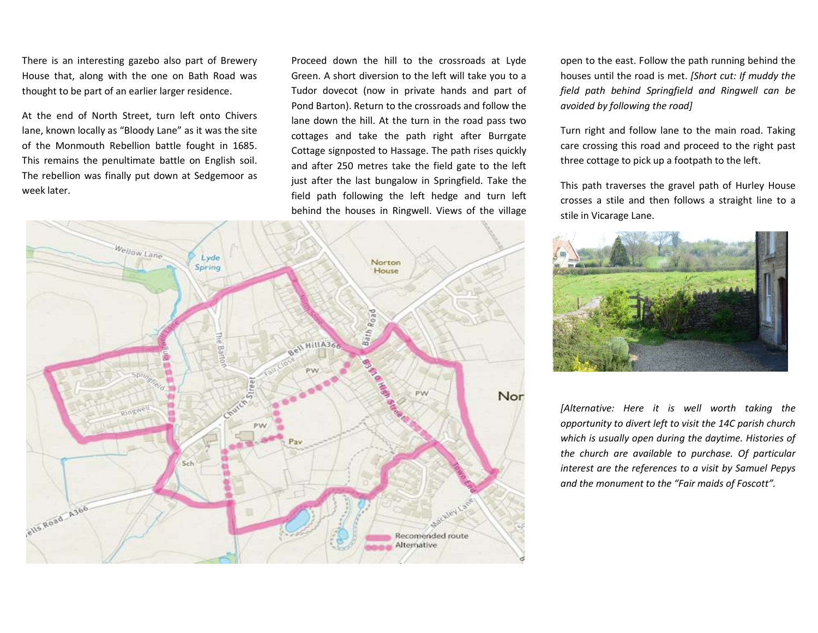There is an interesting gazebo also part of Brewery House that, along with the one on Bath Road was thought to be part of an earlier larger residence.

At the end of North Street, turn left onto Chivers lane, known locally as "Bloody Lane" as it was the site of the Monmouth Rebellion battle fought in 1685. This remains the penultimate battle on English soil. The rebellion was finally put down at Sedgemoor as week later.

Proceed down the hill to the crossroads at Lyde Green. A short diversion to the left will take you to a Tudor dovecot (now in private hands and part of Pond Barton). Return to the crossroads and follow the lane down the hill. At the turn in the road pass two cottages and take the path right after Burrgate Cottage signposted to Hassage. The path rises quickly and after 250 metres take the field gate to the left just after the last bungalow in Springfield. Take the field path following the left hedge and turn left behind the houses in Ringwell. Views of the village



open to the east. Follow the path running behind the houses until the road is met. [Short cut: If muddy the field path behind Springfield and Ringwell can be avoided by following the road]

Turn right and follow lane to the main road. Taking care crossing this road and proceed to the right past three cottage to pick up a footpath to the left.

This path traverses the gravel path of Hurley House crosses a stile and then follows a straight line to a stile in Vicarage Lane.



[Alternative: Here it is well worth taking the opportunity to divert left to visit the 14C parish church which is usually open during the daytime. Histories of the church are available to purchase. Of particular interest are the references to a visit by Samuel Pepys and the monument to the "Fair maids of Foscott".